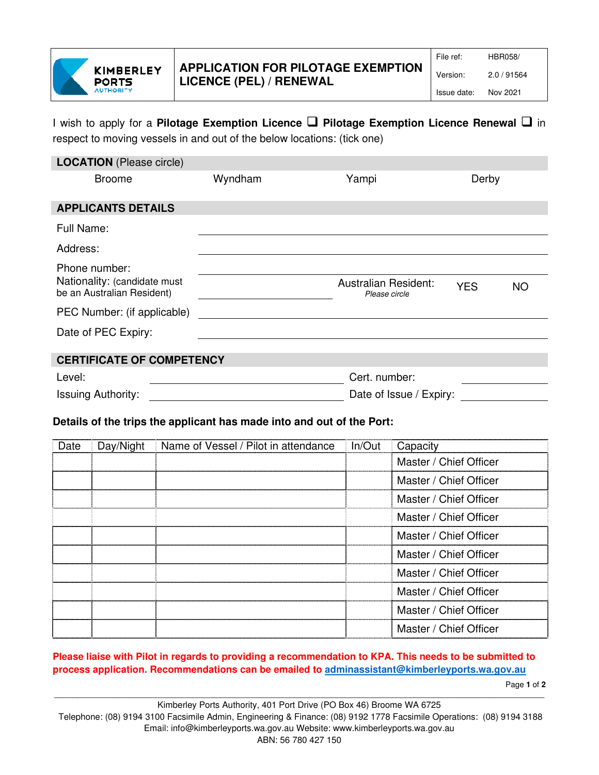

## I wish to apply for a **Pilotage Exemption Licence Pilotage Exemption Licence Renewal**  in respect to moving vessels in and out of the below locations: (tick one)

| <b>LOCATION</b> (Please circle)                                             |         |                                              |            |           |  |
|-----------------------------------------------------------------------------|---------|----------------------------------------------|------------|-----------|--|
| <b>Broome</b>                                                               | Wyndham | Yampi                                        | Derby      |           |  |
| <b>APPLICANTS DETAILS</b>                                                   |         |                                              |            |           |  |
| Full Name:                                                                  |         |                                              |            |           |  |
| Address:                                                                    |         |                                              |            |           |  |
| Phone number:<br>Nationality: (candidate must<br>be an Australian Resident) |         | <b>Australian Resident:</b><br>Please circle | <b>YES</b> | <b>NO</b> |  |
| PEC Number: (if applicable)                                                 |         |                                              |            |           |  |
| Date of PEC Expiry:                                                         |         |                                              |            |           |  |
| <b>CERTIFICATE OF COMPETENCY</b>                                            |         |                                              |            |           |  |
| Level:                                                                      |         | Cert. number:                                |            |           |  |
| <b>Issuing Authority:</b>                                                   |         | Date of Issue / Expiry:                      |            |           |  |
|                                                                             |         |                                              |            |           |  |

### **Details of the trips the applicant has made into and out of the Port:**

| Date | Day/Night | Name of Vessel / Pilot in attendance | In/Out | Capacity               |
|------|-----------|--------------------------------------|--------|------------------------|
|      |           |                                      |        | Master / Chief Officer |
|      |           |                                      |        | Master / Chief Officer |
|      |           |                                      |        | Master / Chief Officer |
|      |           |                                      |        | Master / Chief Officer |
|      |           |                                      |        | Master / Chief Officer |
|      |           |                                      |        | Master / Chief Officer |
|      |           |                                      |        | Master / Chief Officer |
|      |           |                                      |        | Master / Chief Officer |
|      |           |                                      |        | Master / Chief Officer |
|      |           |                                      |        | Master / Chief Officer |
|      |           |                                      |        |                        |

#### **Please liaise with Pilot in regards to providing a recommendation to KPA. This needs to be submitted to process application. Recommendations can be emailed to adminassistant@kimberleyports.wa.gov.au**

Page **1** of **2**